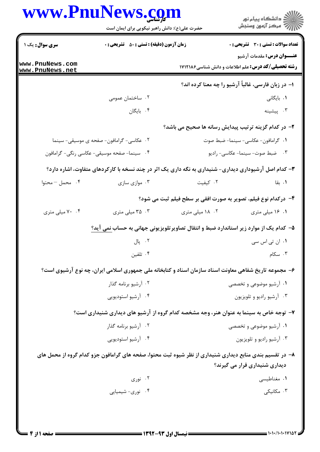| www.PnuNews.com                    | حضرت علی(ع): دانش راهبر نیکویی برای ایمان است                                                            |                                                                | ر<br>پر دانشگاه پيام نور<br>پر مرکز آزمون وسنجش                                                 |
|------------------------------------|----------------------------------------------------------------------------------------------------------|----------------------------------------------------------------|-------------------------------------------------------------------------------------------------|
| سری سوال: یک ۱                     | <b>زمان آزمون (دقیقه) : تستی : 50 ٪ تشریحی : 0</b>                                                       |                                                                | <b>تعداد سوالات : تستی : 30 ٪ تشریحی : 0</b>                                                    |
| www.PnuNews.com<br>www.PnuNews.net |                                                                                                          |                                                                | <b>عنـــوان درس:</b> مقدمات آرشیو<br><b>رشته تحصیلی/کد درس:</b> علم اطلاعات و دانش شناسی۶۸۲۱۱۸۶ |
|                                    |                                                                                                          |                                                                | ا– در زبان فارسی، غالباً آرشیو را چه معنا کرده اند؟                                             |
|                                    | ۰۲ ساختمان عمومی                                                                                         |                                                                | ۰۱ بایگانی                                                                                      |
|                                    | ۰۴ بایگان                                                                                                |                                                                | ۰۳ پیشینه                                                                                       |
|                                    |                                                                                                          | ۲- در کدام گزینه ترتیب پیدایش رسانه ها صحیح می باشد؟           |                                                                                                 |
|                                    | ۰۲ عکاسی- گرامافون- صفحه ی موسیقی- سینما                                                                 |                                                                | ٠١ گرامافون- عكاسي- سينما- ضبط صوت                                                              |
|                                    | ۰۴ سینما- صفحه موسیقی- عکاسی رنگی- گرامافون                                                              |                                                                | ۰۳ ضبط صوت-سینما-عکاسی- رادیو                                                                   |
|                                    | ۳- کدام اصل آرشیوداری دیداری- شنیداری به نگه داری یک اثر در چند نسخه با کارکردهای متفاوت، اشاره دارد؟    |                                                                |                                                                                                 |
| ۰۴ محمل – محتوا                    | ۰۳ موازی سازی                                                                                            | ۰۲ کیفیت                                                       | ۰۱. بقا                                                                                         |
|                                    |                                                                                                          | ۴– درکدام نوع فیلم، تصویر به صورت افقی بر سطح فیلم ثبت می شود؟ |                                                                                                 |
| ۰۴ میلی متری                       | ۰۳ میلی متری                                                                                             | ۰۲ ۱۸ میلی متری                                                | ۰۱ ۱۶ میلی متری                                                                                 |
|                                    | ۵– کدام یک از موارد زیر استاندارد ضبط و انتقال تصاویرتلویزیونی جهانی به حساب <u>نمی آید؟</u>             |                                                                |                                                                                                 |
|                                    | ۰۲ پال                                                                                                   |                                                                | ۰۱ ان تی اس سی                                                                                  |
|                                    | ۰۴ تلفین                                                                                                 |                                                                | ۰۳ سکام                                                                                         |
|                                    | ۶– مجموعه تاریخ شفاهی معاونت اسناد سازمان اسناد و کتابخانه ملی جمهوری اسلامی ایران، چه نوع آرشیوی است؟   |                                                                |                                                                                                 |
|                                    | ۰۲ آرشیو برنامه گذار                                                                                     |                                                                | ۰۱ آرشیو موضوعی و تخصصی                                                                         |
|                                    | ۰۴ آرشیو استودیویی                                                                                       |                                                                | ۰۳ آرشیو رادیو و تلویزیون                                                                       |
|                                    | ۷– توجه خاص به سینما به عنوان هنر، وجه مشخصه کدام گروه از آرشیو های دیداری شنیداری است؟                  |                                                                |                                                                                                 |
|                                    | ۰۲ آرشیو برنامه گذار                                                                                     |                                                                | ۰۱ آرشیو موضوعی و تخصصی                                                                         |
|                                    | ۰۴ آرشیو استودیویی                                                                                       |                                                                | ۰۳ آرشیو رادیو و تلویزیون                                                                       |
|                                    | ۸– در تقسیم بندی منابع دیداری شنیداری از نظر شیوه ثبت محتوا، صفحه های گرامافون جزو کدام گروه از محمل های |                                                                | دیداری شنیداری قرار می گیرند؟                                                                   |
|                                    | ۰۲ نوری                                                                                                  |                                                                | ۰۱ مغناطیسی                                                                                     |
|                                    | ۰۴ نوری- شیمیایی                                                                                         |                                                                | ۰۳ مکانیکی                                                                                      |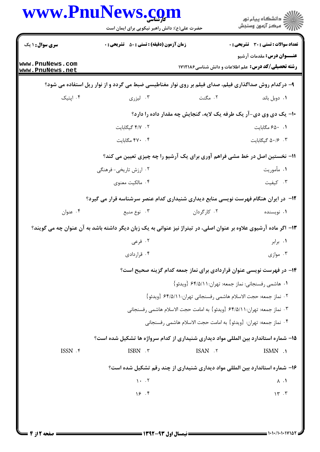| <b>سری سوال : ۱ یک</b><br>www.PnuNews.com<br>www.PnuNews.net<br>۰۴ اپتیک                                          | <b>زمان آزمون (دقیقه) : تستی : 50 ٪ تشریحی : 0</b><br>۰۳ لیزری             | <b>رشته تحصیلی/کد درس:</b> علم اطلاعات و دانش شناسی1۷۱۲۱۸۶<br>۹- درکدام روش صداگذاری فیلم، صدای فیلم بر روی نوار مغناطیسی ضبط می گردد و از نوار ریل استفاده می شود؟<br>۰۲ مگنت | <b>تعداد سوالات : تستی : 30 ٪ تشریحی : 0</b><br><b>عنـــوان درس:</b> مقدمات آرشیو |  |  |
|-------------------------------------------------------------------------------------------------------------------|----------------------------------------------------------------------------|--------------------------------------------------------------------------------------------------------------------------------------------------------------------------------|-----------------------------------------------------------------------------------|--|--|
|                                                                                                                   |                                                                            |                                                                                                                                                                                |                                                                                   |  |  |
|                                                                                                                   |                                                                            |                                                                                                                                                                                |                                                                                   |  |  |
|                                                                                                                   |                                                                            |                                                                                                                                                                                |                                                                                   |  |  |
|                                                                                                                   |                                                                            |                                                                                                                                                                                | ۰۱ دوبل باند                                                                      |  |  |
|                                                                                                                   |                                                                            | ۱۰- یک دی وی دی-آر یک طرفه یک لایه، گنجایش چه مقدار داده را دارد؟                                                                                                              |                                                                                   |  |  |
|                                                                                                                   | ٢. ٢/٢ كيگابايت                                                            |                                                                                                                                                                                | ٠. ٤٥٠ مگابايت                                                                    |  |  |
|                                                                                                                   | ۴. ۴۷۰ مگابایت                                                             |                                                                                                                                                                                | ٠. ٥٠/۶ كيگابايت                                                                  |  |  |
|                                                                                                                   | 11- نخستین اصل در خط مشی فراهم آوری برای یک آرشیو را چه چیزی تعیین می کند؟ |                                                                                                                                                                                |                                                                                   |  |  |
|                                                                                                                   | ۰۲ ارزش تاریخی- فرهنگی                                                     |                                                                                                                                                                                | ۱. مأموريت                                                                        |  |  |
|                                                                                                                   | ۰۴ مالکیت معنوی                                                            |                                                                                                                                                                                | ۰۳ کیفیت                                                                          |  |  |
|                                                                                                                   |                                                                            | ۱۲– در ایران هنگام فهرست نویسی منابع دیداری شنیداری کدام عنصر سرشناسه قرار می گیرد؟                                                                                            |                                                                                   |  |  |
| ۰۴ عنوان                                                                                                          | ۰۳ نوع منبع                                                                | ۰۲ کارگردان                                                                                                                                                                    | ۰۱ نویسنده                                                                        |  |  |
| ۱۳– اگر ماده آرشیوی علاوه بر عنوان اصلی، در تیتراژ نیز عنوانی به یک زبان دیگر داشته باشد به آن عنوان چه می گویند؟ |                                                                            |                                                                                                                                                                                |                                                                                   |  |  |
|                                                                                                                   | ۰۲ فرعی                                                                    |                                                                                                                                                                                | ۰۱ برابر                                                                          |  |  |
|                                                                                                                   | ۰۴ قراردادی                                                                |                                                                                                                                                                                | ۰۳ موازی $\cdot$                                                                  |  |  |
|                                                                                                                   |                                                                            | ۱۴- در فهرست نویسی عنوان قراردادی برای نماز جمعه کدام گزینه صحیح است؟                                                                                                          |                                                                                   |  |  |
|                                                                                                                   |                                                                            | ۰۱ هاشمی رفسنجانی: نماز جمعه: تهران:۶۴/۵/۱۱ {ویدئو}                                                                                                                            |                                                                                   |  |  |
|                                                                                                                   |                                                                            | ٢ . نماز جمعه: حجت الاسلام هاشمي رفسنجاني تهران:١١/٥/١٩ {ويدئو}                                                                                                                |                                                                                   |  |  |
|                                                                                                                   |                                                                            | ٣. نماز جمعه: تهران:٢ ٤٤/٥/١ {ويدئو } به امامت حجت الاسلام هاشمي رفسنجاني                                                                                                      |                                                                                   |  |  |
|                                                                                                                   |                                                                            | ۰۴ نماز جمعه: تهران: {ويدئو} به امامت حجت الاسلام هاشمي رفسنجاني                                                                                                               |                                                                                   |  |  |
|                                                                                                                   |                                                                            | ۱۵– شماره استاندارد بین المللی مواد دیداری شنیداری از کدام سرواژه ها تشکیل شده است؟                                                                                            |                                                                                   |  |  |
| $ISSN.$ ۴                                                                                                         | ISBN .٣                                                                    | ISAN .٢                                                                                                                                                                        | ISMN .1                                                                           |  |  |
|                                                                                                                   |                                                                            | ۱۶- شماره استاندارد بین المللی مواد دیداری شنیداری از چند رقم تشکیل شده است؟                                                                                                   |                                                                                   |  |  |
|                                                                                                                   | $1 - 5$                                                                    |                                                                                                                                                                                | $\Lambda$ .                                                                       |  |  |
|                                                                                                                   | 18.9                                                                       |                                                                                                                                                                                | 15.7                                                                              |  |  |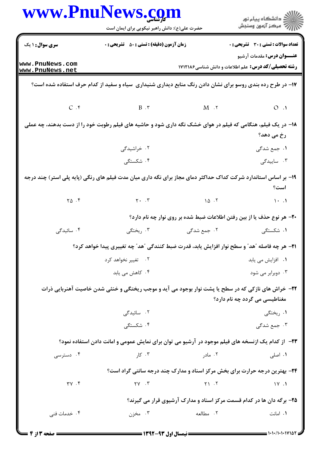|                                    | www.PnuNews.com<br>حضرت علی(ع): دانش راهبر نیکویی برای ایمان است                                               |                    | ر دانشگاه پيام نور<br>دانشگاه پيام نور (                                                        |
|------------------------------------|----------------------------------------------------------------------------------------------------------------|--------------------|-------------------------------------------------------------------------------------------------|
| <b>سری سوال : ۱ یک</b>             | <b>زمان آزمون (دقیقه) : تستی : 50 ٪ تشریحی : 0</b>                                                             |                    | تعداد سوالات : تستى : 30 - تشريحي : 0                                                           |
| www.PnuNews.com<br>www.PnuNews.net |                                                                                                                |                    | <b>عنـــوان درس:</b> مقدمات آرشیو<br><b>رشته تحصیلی/کد درس:</b> علم اطلاعات و دانش شناسی1۷۱۲۱۸۶ |
|                                    | ۱۷– در طرح رده بندی روسو برای نشان دادن رنگ منابع دیداری شنیداری سیاه و سفید از کدام حرف استفاده شده است؟      |                    |                                                                                                 |
|                                    | $C \cdot f$ B $\cdot$ T M $\cdot$ T                                                                            |                    | $O \cdot 1$                                                                                     |
|                                    | ۱۸– در یک فیلم، هنگامی که فیلم در هوای خشک نگه داری شود و حاشیه های فیلم رطوبت خود را از دست بدهند، چه عملی    |                    | رخ می دهد؟                                                                                      |
|                                    | ۰۲ خراشیدگی                                                                                                    |                    | ۰۱ جمع شدگی                                                                                     |
|                                    | ۰۴ شکستگی                                                                                                      |                    | ۰۳ ساییدگی                                                                                      |
|                                    | ۱۹- بر اساس استاندارد شرکت کداک حداکثر دمای مجاز برای نگه داری میان مدت فیلم های رنگی (پایه پلی استر) چند درجه |                    | است؟                                                                                            |
| $Y\Delta$ .                        |                                                                                                                | $Y \cdot Y$ 10 $Y$ | $\mathcal{N}$ . $\mathcal{N}$                                                                   |
|                                    |                                                                                                                |                    | ۲۰- هر نوع حذف یا از بین رفتن اطلاعات ضبط شده بر روی نوار چه نام دارد؟                          |
| ۰۴ سائیدگی                         | ۰۳ ریختگی                                                                                                      | ۰۲ جمع شدگی        | ۰۱ شکستگی                                                                                       |
|                                    | ـ™ هر چه فاصله ″هد″ و سطح نوار افزایش یابد، قدرت ضبط کنندگی ″هد″ چه تغییری پیدا خواهد کرد؟                     |                    |                                                                                                 |
|                                    | ۰۲ تغییر نخواهد کرد                                                                                            |                    | ٠١ افزايش مى يابد                                                                               |
|                                    | ۰۴ کاهش می یابد                                                                                                |                    | ۰۳ دوبرابر می شود                                                                               |
|                                    | ۲۲- خراش های نازکی که در سطح یا پشت نوار بوجود می آید و موجب ریختگی و خنثی شدن خاصیت آهنربایی ذرات             |                    | مغناطیسی می گردد چه نام دارد؟                                                                   |
|                                    | ۲. سائیدگی                                                                                                     |                    | ۰۱ ریختگی                                                                                       |
|                                    | ۰۴ شکستگی                                                                                                      |                    | ۰۳ جمع شدگی                                                                                     |
|                                    | ۲۳– از کدام یک ازنسخه های فیلم موجود در آرشیو می توان برای نمایش عمومی و امانت دادن استفاده نمود؟              |                    |                                                                                                 |
| ۰۴ دسترسی                          | ۰۳ کار                                                                                                         | ۰۲ مادر            | ۰۱ اصلی                                                                                         |
|                                    |                                                                                                                |                    | ۲۴- بهترین درجه حرارت برای بخش مرکز اسناد و مدارک چند درجه سانتی گراد است؟                      |
| $\uparrow \vee$ . $\uparrow$       | $\gamma \gamma$ . $\gamma$                                                                                     | Y1.7               | $\sqrt{11}$                                                                                     |
|                                    |                                                                                                                |                    | ۲۵- برگه دان ها در کدام قسمت مرکز اسناد و مدارک آرشیوی قرار می گیرند؟                           |
| ۰۴ خدمات فنی                       | ۰۳ مخزن                                                                                                        | ۰۲ مطالعه          | ۰۱ امانت                                                                                        |